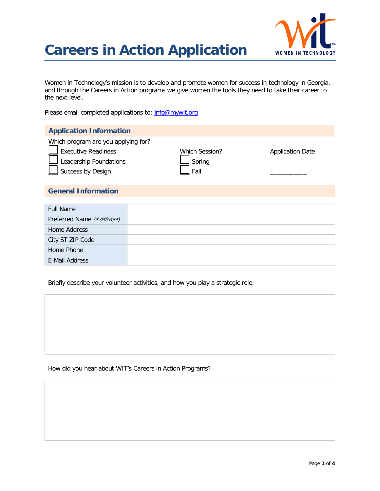

Women in Technology's mission is to develop and promote women for success in technology in Georgia, and through the Careers in Action programs we give women the tools they need to take their career to the next level.

Please email completed applications to: [info@mywit.org](mailto:info@mywit.org)

E-Mail Address

| <b>Application Information</b>                                                                                   |                                  |                         |
|------------------------------------------------------------------------------------------------------------------|----------------------------------|-------------------------|
| Which program are you applying for?<br><b>Executive Readiness</b><br>Leadership Foundations<br>Success by Design | Which Session?<br>Spring<br>Fall | <b>Application Date</b> |
| <b>General Information</b>                                                                                       |                                  |                         |
|                                                                                                                  |                                  |                         |
| <b>Full Name</b>                                                                                                 |                                  |                         |
| Preferred Name (if different)                                                                                    |                                  |                         |
| <b>Home Address</b>                                                                                              |                                  |                         |
| City ST ZIP Code                                                                                                 |                                  |                         |
| Home Phone                                                                                                       |                                  |                         |

Briefly describe your volunteer activities, and how you play a strategic role:

#### How did you hear about WIT's Careers in Action Programs?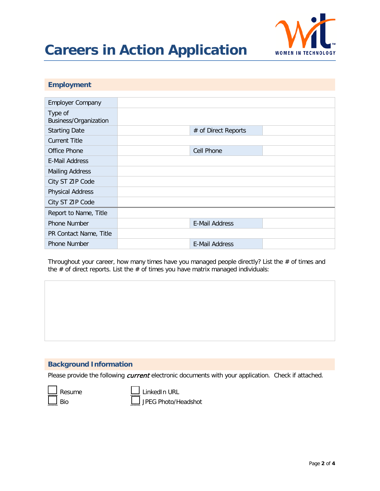

### **Employment**

| <b>Employer Company</b>                 |                       |  |
|-----------------------------------------|-----------------------|--|
| Type of<br><b>Business/Organization</b> |                       |  |
| <b>Starting Date</b>                    | # of Direct Reports   |  |
| <b>Current Title</b>                    |                       |  |
| Office Phone                            | <b>Cell Phone</b>     |  |
| E-Mail Address                          |                       |  |
| <b>Mailing Address</b>                  |                       |  |
| City ST ZIP Code                        |                       |  |
| <b>Physical Address</b>                 |                       |  |
| City ST ZIP Code                        |                       |  |
| Report to Name, Title                   |                       |  |
| <b>Phone Number</b>                     | <b>E-Mail Address</b> |  |
| PR Contact Name, Title                  |                       |  |
| <b>Phone Number</b>                     | <b>E-Mail Address</b> |  |

Throughout your career, how many times have you managed people directly? List the # of times and the  $#$  of direct reports. List the  $#$  of times you have matrix managed individuals:

### **Background Information**

Please provide the following current electronic documents with your application. Check if attached.



Resume  $\Box$  LinkedIn URL

Bio  $\Box$  JPEG Photo/Headshot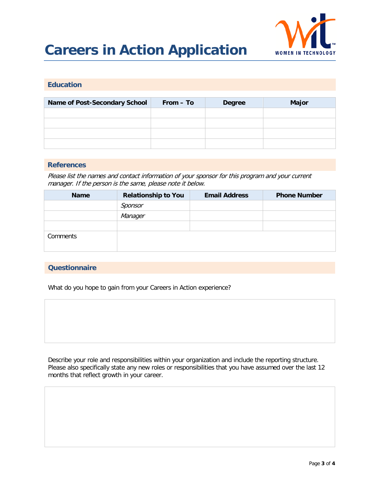

### **Education**

| <b>Name of Post-Secondary School</b> | From – To | <b>Degree</b> | <b>Major</b> |
|--------------------------------------|-----------|---------------|--------------|
|                                      |           |               |              |
|                                      |           |               |              |
|                                      |           |               |              |
|                                      |           |               |              |

#### **References**

Please list the names and contact information of your sponsor for this program and your current manager. If the person is the same, please note it below.

| <b>Name</b> | <b>Relationship to You</b> | <b>Email Address</b> | <b>Phone Number</b> |
|-------------|----------------------------|----------------------|---------------------|
|             | Sponsor                    |                      |                     |
|             | Manager                    |                      |                     |
|             |                            |                      |                     |
| Comments    |                            |                      |                     |

### **Questionnaire**

What do you hope to gain from your Careers in Action experience?

Describe your role and responsibilities within your organization and include the reporting structure. Please also specifically state any new roles or responsibilities that you have assumed over the last 12 months that reflect growth in your career.